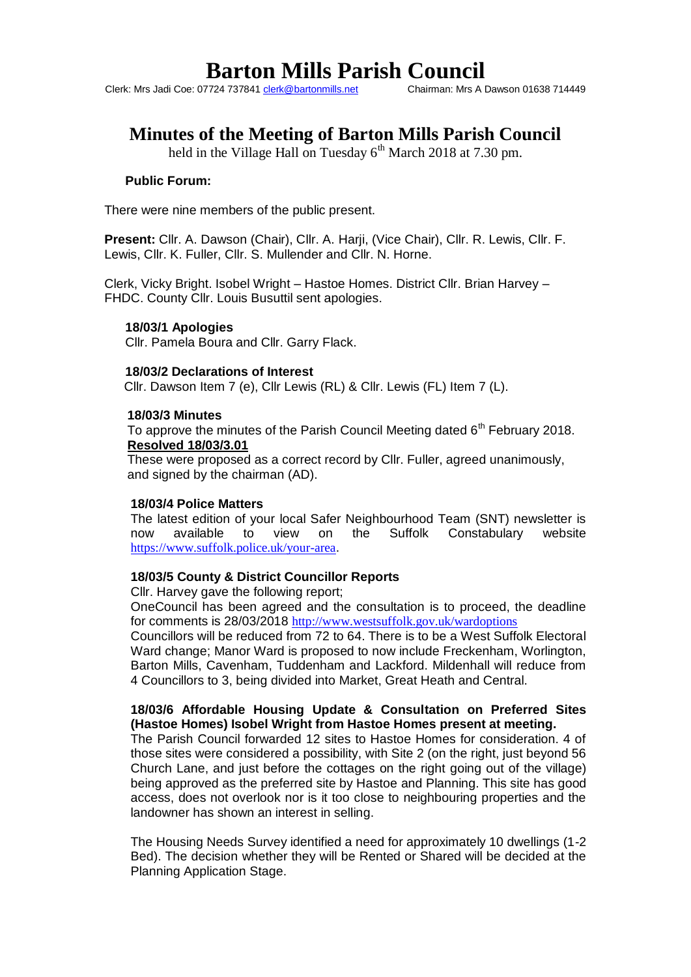Clerk: Mrs Jadi Coe: 07724 737841 clerk@bartonmills.net

# **Minutes of the Meeting of Barton Mills Parish Council**

held in the Village Hall on Tuesday  $6<sup>th</sup>$  March 2018 at 7.30 pm.

# **Public Forum:**

There were nine members of the public present.

**Present:** Cllr. A. Dawson (Chair), Cllr. A. Harji, (Vice Chair), Cllr. R. Lewis, Cllr. F. Lewis, Cllr. K. Fuller, Cllr. S. Mullender and Cllr. N. Horne.

Clerk, Vicky Bright. Isobel Wright – Hastoe Homes. District Cllr. Brian Harvey – FHDC. County Cllr. Louis Busuttil sent apologies.

#### **18/03/1 Apologies**

Cllr. Pamela Boura and Cllr. Garry Flack.

#### **18/03/2 Declarations of Interest**

Cllr. Dawson Item 7 (e), Cllr Lewis (RL) & Cllr. Lewis (FL) Item 7 (L).

#### **18/03/3 Minutes**

To approve the minutes of the Parish Council Meeting dated  $6<sup>th</sup>$  February 2018. **Resolved 18/03/3.01**

These were proposed as a correct record by Cllr. Fuller, agreed unanimously, and signed by the chairman (AD).

#### **18/03/4 Police Matters**

The latest edition of your local Safer Neighbourhood Team (SNT) newsletter is now available to view on the Suffolk Constabulary website <https://www.suffolk.police.uk/your-area>.

#### **18/03/5 County & District Councillor Reports**

Cllr. Harvey gave the following report;

OneCouncil has been agreed and the consultation is to proceed, the deadline for comments is 28/03/2018 <http://www.westsuffolk.gov.uk/wardoptions>

Councillors will be reduced from 72 to 64. There is to be a West Suffolk Electoral Ward change; Manor Ward is proposed to now include Freckenham, Worlington, Barton Mills, Cavenham, Tuddenham and Lackford. Mildenhall will reduce from 4 Councillors to 3, being divided into Market, Great Heath and Central.

# **18/03/6 Affordable Housing Update & Consultation on Preferred Sites (Hastoe Homes) Isobel Wright from Hastoe Homes present at meeting.**

The Parish Council forwarded 12 sites to Hastoe Homes for consideration. 4 of those sites were considered a possibility, with Site 2 (on the right, just beyond 56 Church Lane, and just before the cottages on the right going out of the village) being approved as the preferred site by Hastoe and Planning. This site has good access, does not overlook nor is it too close to neighbouring properties and the landowner has shown an interest in selling.

The Housing Needs Survey identified a need for approximately 10 dwellings (1-2 Bed). The decision whether they will be Rented or Shared will be decided at the Planning Application Stage.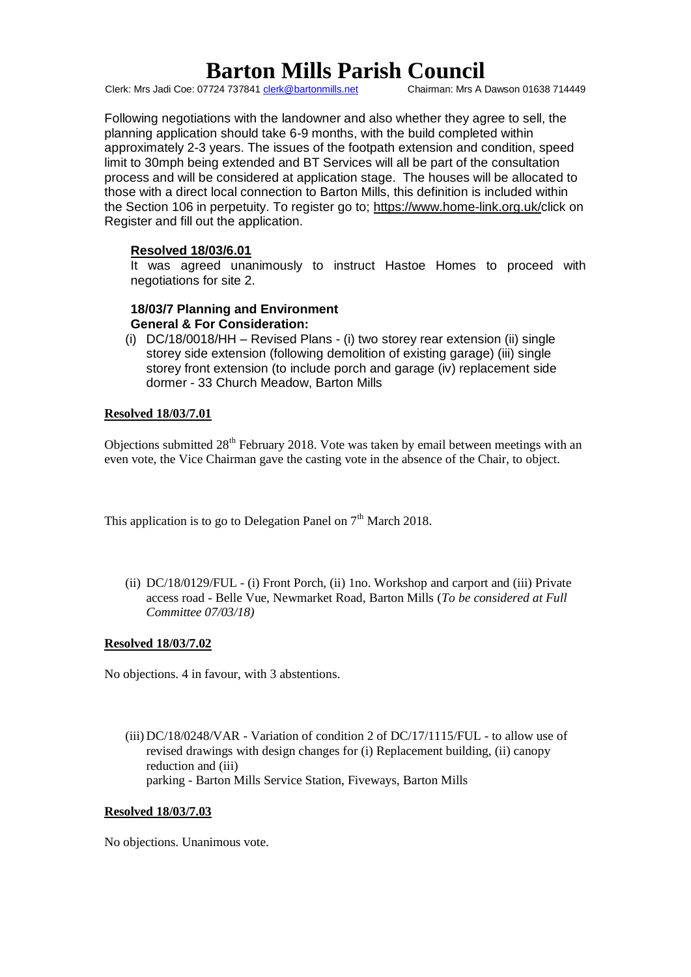Clerk: Mrs Jadi Coe: 07724 737841 clerk@bartonmills.net

Following negotiations with the landowner and also whether they agree to sell, the planning application should take 6-9 months, with the build completed within approximately 2-3 years. The issues of the footpath extension and condition, speed limit to 30mph being extended and BT Services will all be part of the consultation process and will be considered at application stage. The houses will be allocated to those with a direct local connection to Barton Mills, this definition is included within the Section 106 in perpetuity. To register go to; https://www.home-link.org.uk/click on Register and fill out the application.

# **Resolved 18/03/6.01**

It was agreed unanimously to instruct Hastoe Homes to proceed with negotiations for site 2.

#### **18/03/7 Planning and Environment General & For Consideration:**

(i) DC/18/0018/HH – Revised Plans - (i) two storey rear extension (ii) single storey side extension (following demolition of existing garage) (iii) single storey front extension (to include porch and garage (iv) replacement side dormer - 33 Church Meadow, Barton Mills

### **Resolved 18/03/7.01**

Objections submitted  $28<sup>th</sup>$  February 2018. Vote was taken by email between meetings with an even vote, the Vice Chairman gave the casting vote in the absence of the Chair, to object.

This application is to go to Delegation Panel on  $7<sup>th</sup>$  March 2018.

(ii) DC/18/0129/FUL - (i) Front Porch, (ii) 1no. Workshop and carport and (iii) Private access road - Belle Vue, Newmarket Road, Barton Mills (*To be considered at Full Committee 07/03/18)*

#### **Resolved 18/03/7.02**

No objections. 4 in favour, with 3 abstentions.

(iii) DC/18/0248/VAR - Variation of condition 2 of DC/17/1115/FUL - to allow use of revised drawings with design changes for (i) Replacement building, (ii) canopy reduction and (iii) parking - Barton Mills Service Station, Fiveways, Barton Mills

#### **Resolved 18/03/7.03**

No objections. Unanimous vote.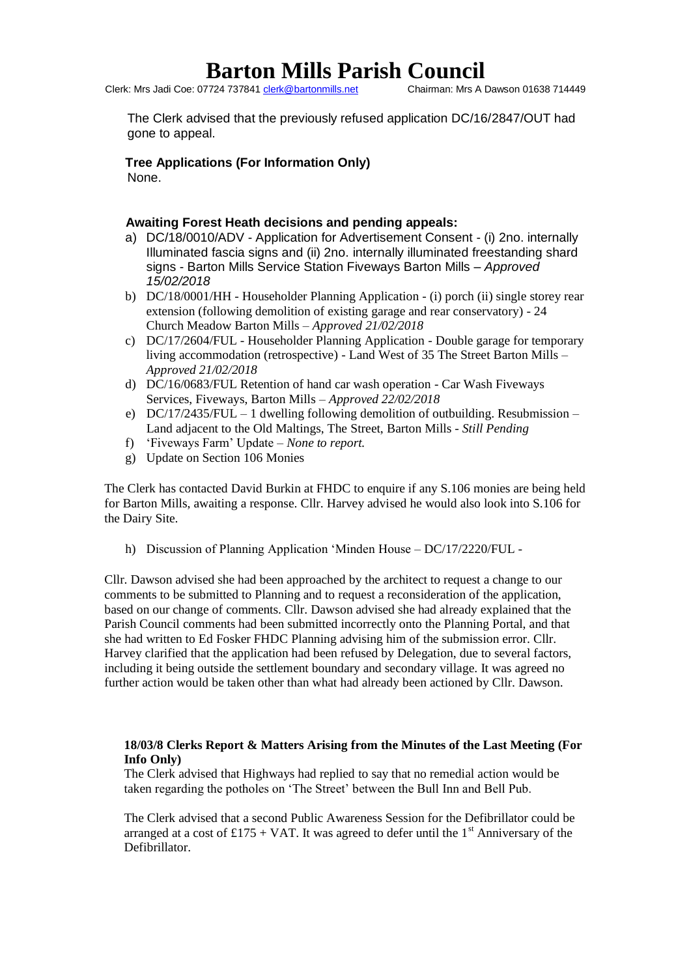Clerk: Mrs Jadi Coe: 07724 737841 clerk@bartonmills.net

The Clerk advised that the previously refused application DC/16/2847/OUT had gone to appeal.

**Tree Applications (For Information Only)** None.

# **Awaiting Forest Heath decisions and pending appeals:**

- a) DC/18/0010/ADV Application for Advertisement Consent (i) 2no. internally Illuminated fascia signs and (ii) 2no. internally illuminated freestanding shard signs - Barton Mills Service Station Fiveways Barton Mills – *Approved 15/02/2018*
- b) DC/18/0001/HH Householder Planning Application (i) porch (ii) single storey rear extension (following demolition of existing garage and rear conservatory) - 24 Church Meadow Barton Mills – *Approved 21/02/2018*
- c) DC/17/2604/FUL Householder Planning Application Double garage for temporary living accommodation (retrospective) - Land West of 35 The Street Barton Mills – *Approved 21/02/2018*
- d) DC/16/0683/FUL Retention of hand car wash operation Car Wash Fiveways Services, Fiveways, Barton Mills – *Approved 22/02/2018*
- e)  $DC/17/2435/FUL 1$  dwelling following demolition of outbuilding. Resubmission Land adjacent to the Old Maltings, The Street, Barton Mills - *Still Pending*
- f) 'Fiveways Farm' Update *None to report.*
- g) Update on Section 106 Monies

The Clerk has contacted David Burkin at FHDC to enquire if any S.106 monies are being held for Barton Mills, awaiting a response. Cllr. Harvey advised he would also look into S.106 for the Dairy Site.

h) Discussion of Planning Application 'Minden House – DC/17/2220/FUL -

Cllr. Dawson advised she had been approached by the architect to request a change to our comments to be submitted to Planning and to request a reconsideration of the application, based on our change of comments. Cllr. Dawson advised she had already explained that the Parish Council comments had been submitted incorrectly onto the Planning Portal, and that she had written to Ed Fosker FHDC Planning advising him of the submission error. Cllr. Harvey clarified that the application had been refused by Delegation, due to several factors, including it being outside the settlement boundary and secondary village. It was agreed no further action would be taken other than what had already been actioned by Cllr. Dawson.

### **18/03/8 Clerks Report & Matters Arising from the Minutes of the Last Meeting (For Info Only)**

The Clerk advised that Highways had replied to say that no remedial action would be taken regarding the potholes on 'The Street' between the Bull Inn and Bell Pub.

The Clerk advised that a second Public Awareness Session for the Defibrillator could be arranged at a cost of £175 + VAT. It was agreed to defer until the 1<sup>st</sup> Anniversary of the Defibrillator.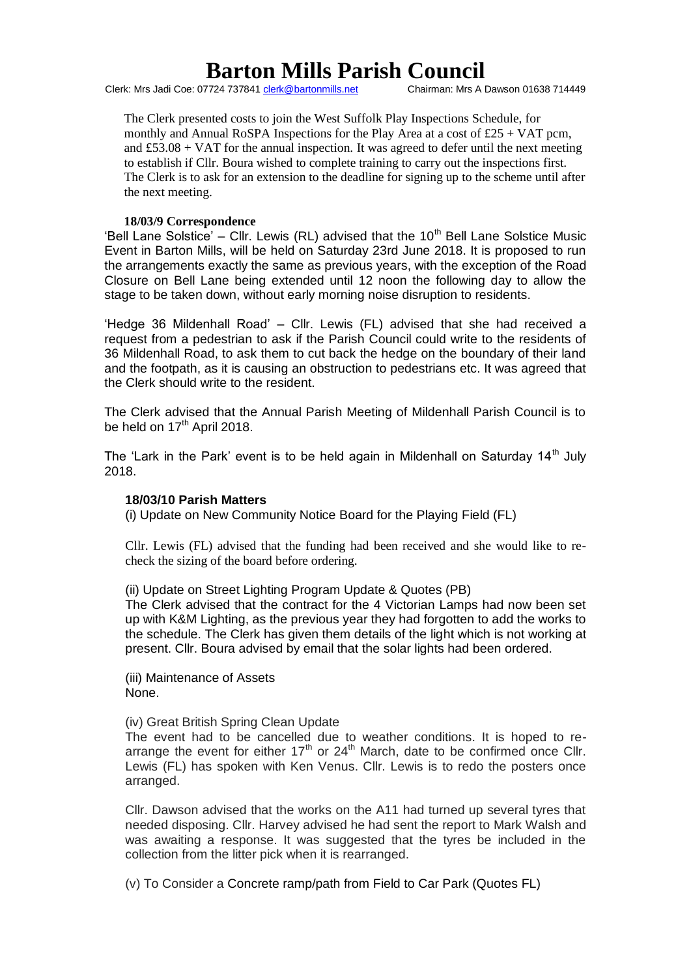Clerk: Mrs Jadi Coe: 07724 737841 clerk@bartonmills.net

The Clerk presented costs to join the West Suffolk Play Inspections Schedule, for monthly and Annual RoSPA Inspections for the Play Area at a cost of  $£25 + VAT$  pcm, and  $£53.08 + *VAT*$  for the annual inspection. It was agreed to defer until the next meeting to establish if Cllr. Boura wished to complete training to carry out the inspections first. The Clerk is to ask for an extension to the deadline for signing up to the scheme until after the next meeting.

#### **18/03/9 Correspondence**

'Bell Lane Solstice' – Cllr. Lewis (RL) advised that the 10<sup>th</sup> Bell Lane Solstice Music Event in Barton Mills, will be held on Saturday 23rd June 2018. It is proposed to run the arrangements exactly the same as previous years, with the exception of the Road Closure on Bell Lane being extended until 12 noon the following day to allow the stage to be taken down, without early morning noise disruption to residents.

'Hedge 36 Mildenhall Road' – Cllr. Lewis (FL) advised that she had received a request from a pedestrian to ask if the Parish Council could write to the residents of 36 Mildenhall Road, to ask them to cut back the hedge on the boundary of their land and the footpath, as it is causing an obstruction to pedestrians etc. It was agreed that the Clerk should write to the resident.

The Clerk advised that the Annual Parish Meeting of Mildenhall Parish Council is to be held on  $17<sup>th</sup>$  April 2018.

The 'Lark in the Park' event is to be held again in Mildenhall on Saturday 14<sup>th</sup> July 2018.

#### **18/03/10 Parish Matters**

(i) Update on New Community Notice Board for the Playing Field (FL)

Cllr. Lewis (FL) advised that the funding had been received and she would like to recheck the sizing of the board before ordering.

(ii) Update on Street Lighting Program Update & Quotes (PB)

The Clerk advised that the contract for the 4 Victorian Lamps had now been set up with K&M Lighting, as the previous year they had forgotten to add the works to the schedule. The Clerk has given them details of the light which is not working at present. Cllr. Boura advised by email that the solar lights had been ordered.

(iii) Maintenance of Assets None.

(iv) Great British Spring Clean Update

The event had to be cancelled due to weather conditions. It is hoped to rearrange the event for either  $17<sup>th</sup>$  or  $24<sup>th</sup>$  March, date to be confirmed once Cllr. Lewis (FL) has spoken with Ken Venus. Cllr. Lewis is to redo the posters once arranged.

Cllr. Dawson advised that the works on the A11 had turned up several tyres that needed disposing. Cllr. Harvey advised he had sent the report to Mark Walsh and was awaiting a response. It was suggested that the tyres be included in the collection from the litter pick when it is rearranged.

(v) To Consider a Concrete ramp/path from Field to Car Park (Quotes FL)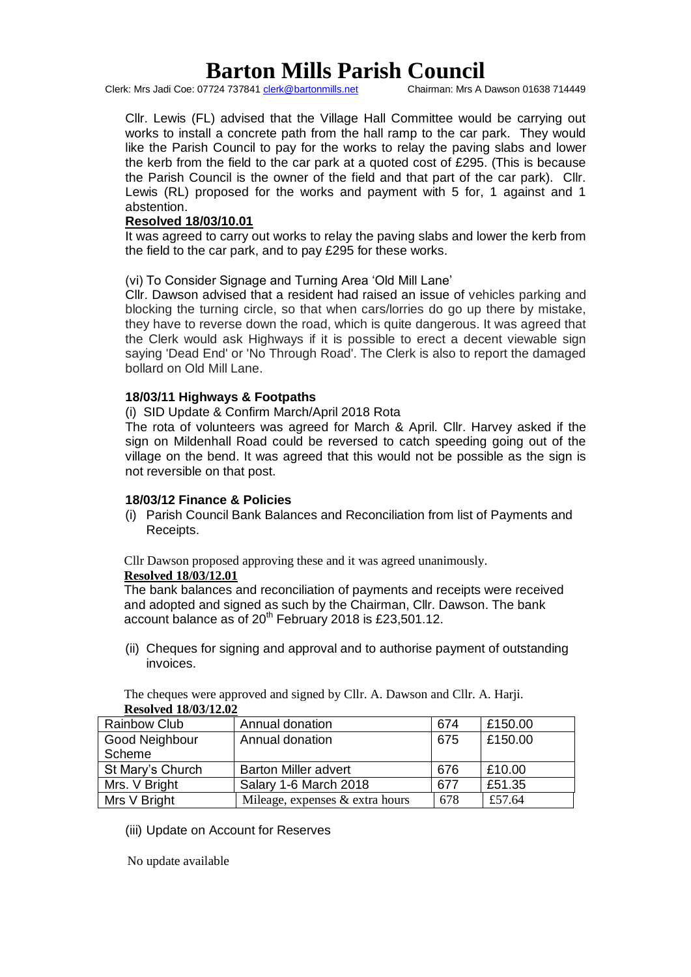Clerk: Mrs Jadi Coe: 07724 737841 clerk@bartonmills.net

Cllr. Lewis (FL) advised that the Village Hall Committee would be carrying out works to install a concrete path from the hall ramp to the car park. They would like the Parish Council to pay for the works to relay the paving slabs and lower the kerb from the field to the car park at a quoted cost of £295. (This is because the Parish Council is the owner of the field and that part of the car park). Cllr. Lewis (RL) proposed for the works and payment with 5 for, 1 against and 1 abstention.

### **Resolved 18/03/10.01**

It was agreed to carry out works to relay the paving slabs and lower the kerb from the field to the car park, and to pay £295 for these works.

(vi) To Consider Signage and Turning Area 'Old Mill Lane'

Cllr. Dawson advised that a resident had raised an issue of vehicles parking and blocking the turning circle, so that when cars/lorries do go up there by mistake, they have to reverse down the road, which is quite dangerous. It was agreed that the Clerk would ask Highways if it is possible to erect a decent viewable sign saying 'Dead End' or 'No Through Road'. The Clerk is also to report the damaged bollard on Old Mill Lane.

### **18/03/11 Highways & Footpaths**

(i) SID Update & Confirm March/April 2018 Rota

The rota of volunteers was agreed for March & April. Cllr. Harvey asked if the sign on Mildenhall Road could be reversed to catch speeding going out of the village on the bend. It was agreed that this would not be possible as the sign is not reversible on that post.

# **18/03/12 Finance & Policies**

(i) Parish Council Bank Balances and Reconciliation from list of Payments and Receipts.

Cllr Dawson proposed approving these and it was agreed unanimously.

#### **Resolved 18/03/12.01**

The bank balances and reconciliation of payments and receipts were received and adopted and signed as such by the Chairman, Cllr. Dawson. The bank account balance as of  $20<sup>th</sup>$  February 2018 is £23,501.12.

(ii) Cheques for signing and approval and to authorise payment of outstanding invoices.

| <b>INCOUVEU 10/03/14.04</b> |                                 |     |         |
|-----------------------------|---------------------------------|-----|---------|
| <b>Rainbow Club</b>         | Annual donation                 | 674 | £150.00 |
| Good Neighbour              | Annual donation                 | 675 | £150.00 |
| Scheme                      |                                 |     |         |
| St Mary's Church            | <b>Barton Miller advert</b>     | 676 | £10.00  |
| Mrs. V Bright               | Salary 1-6 March 2018           | 677 | £51.35  |
| Mrs V Bright                | Mileage, expenses & extra hours | 678 | £57.64  |

The cheques were approved and signed by Cllr. A. Dawson and Cllr. A. Harji. **Resolved 18/03/12.02**

(iii) Update on Account for Reserves

No update available